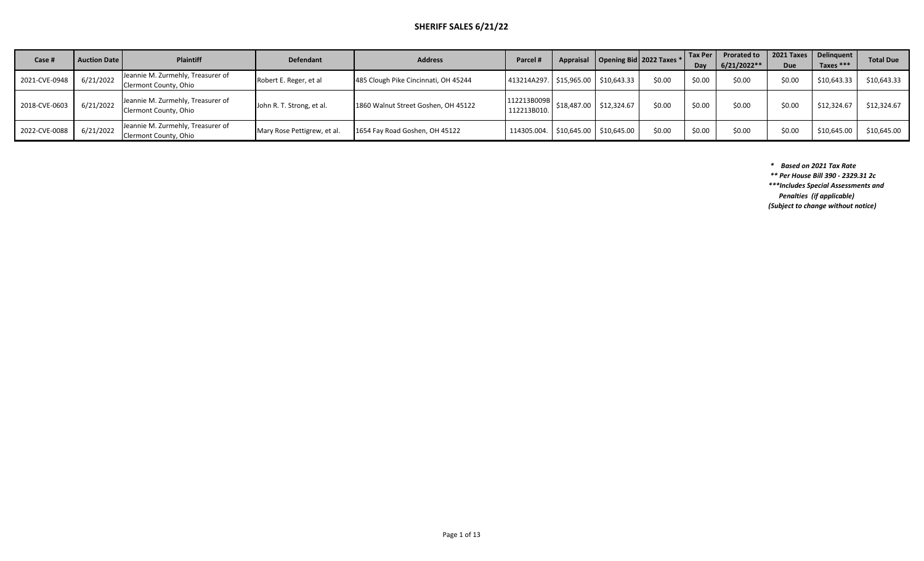## **SHERIFF SALES 6/21/22**

| Case #        | <b>Auction Date</b> | <b>Plaintiff</b>                                           | <b>Defendant</b>            | <b>Address</b>                       | Parcel                                  | Appraisal                                           | Opening Bid 2022 Taxes $*$ |        | l Tax Per<br>Dav | <b>Prorated to</b><br>$6/21/2022**$ | Due    | 2021 Taxes   Delinguent  <br>Taxes *** | <b>Total Due</b> |
|---------------|---------------------|------------------------------------------------------------|-----------------------------|--------------------------------------|-----------------------------------------|-----------------------------------------------------|----------------------------|--------|------------------|-------------------------------------|--------|----------------------------------------|------------------|
| 2021-CVE-0948 | 6/21/2022           | Jeannie M. Zurmehly, Treasurer of<br>Clermont County, Ohio | Robert E. Reger, et al      | 485 Clough Pike Cincinnati, OH 45244 | 413214A297.   \$15,965.00   \$10,643.33 |                                                     |                            | \$0.00 | \$0.00           | \$0.00                              | \$0.00 | \$10,643.33                            | \$10,643.33      |
| 2018-CVE-0603 | 6/21/2022           | Jeannie M. Zurmehly, Treasurer of<br>Clermont County, Ohio | John R. T. Strong, et al.   | 1860 Walnut Street Goshen, OH 45122  | 112213B009B<br>112213B010.              | \$18,487.00                                         | \$12,324.67                | \$0.00 | \$0.00           | \$0.00                              | \$0.00 | \$12,324.67                            | \$12,324.67      |
| 2022-CVE-0088 | 6/21/2022           | Jeannie M. Zurmehly, Treasurer of<br>Clermont County, Ohio | Mary Rose Pettigrew, et al. | 1654 Fay Road Goshen, OH 45122       | 114305.004.                             | $\frac{1}{2}$ \$10,645.00 $\frac{1}{2}$ \$10,645.00 |                            | \$0.00 | \$0.00           | \$0.00                              | \$0.00 | \$10,645.00                            | \$10,645.00      |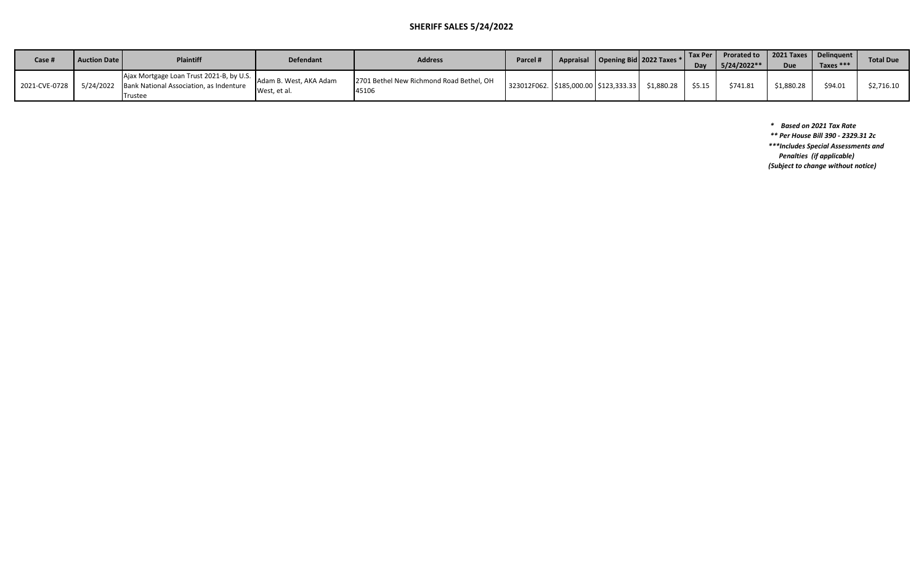## **SHERIFF SALES 5/24/2022**

| Case i        | <b>Auction Date I</b> | <b>Plaintiff</b>                                                                                            | <b>Defendant</b>                      | <b>Address</b>                                    | <b>Parcel #</b>                           | Appraisal   Opening Bid   2022 Taxes * |            | Tax Per L<br>Day | Prorated to   2021 Taxes   Delinquent<br>$5/24/2022**$ | Due        | Taxes $***$ | <b>Total Due</b> |
|---------------|-----------------------|-------------------------------------------------------------------------------------------------------------|---------------------------------------|---------------------------------------------------|-------------------------------------------|----------------------------------------|------------|------------------|--------------------------------------------------------|------------|-------------|------------------|
| 2021-CVE-0728 |                       | Ajax Mortgage Loan Trust 2021-B, by U.S. I.<br>5/24/2022 Bank National Association, as Indenture<br>Trustee | Adam B. West. AKA Adam<br>West, et al | 2701 Bethel New Richmond Road Bethel, OH<br>45106 | 323012F062.   \$185,000.00   \$123,333.33 |                                        | \$1.880.28 | \$5.15           | \$741.81                                               | \$1,880.28 | \$94.01     | \$2,716.10       |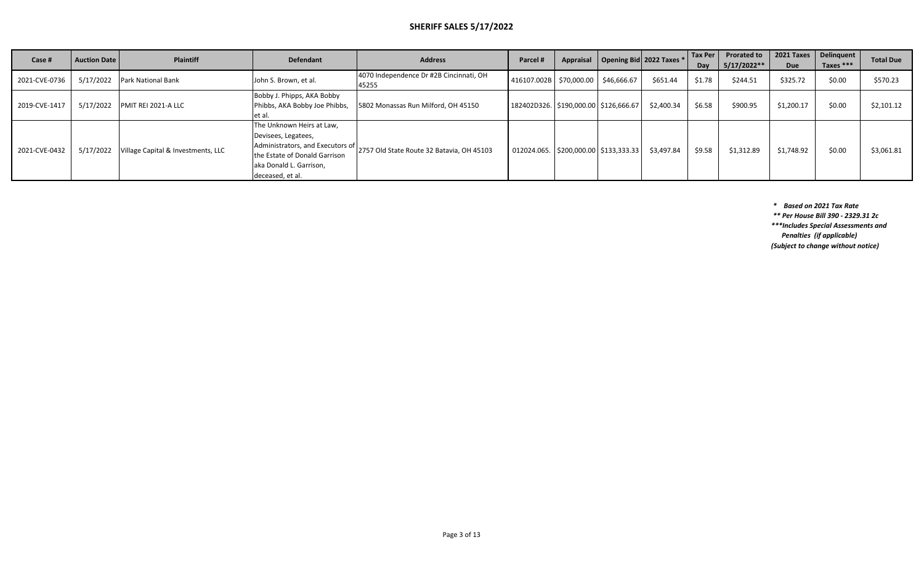#### **SHERIFF SALES 5/17/2022**

| Case #        | <b>Auction Date  </b> | <b>Plaintiff</b>                             | <b>Defendant</b>                                                                                                                                                     | <b>Address</b>                                   | Parcel #                                  | Appraisal | Opening Bid 2022 Taxes *                  |            | Tax Per<br>Day | <b>Prorated to</b><br>5/17/2022** | 2021 Taxes<br>Due | Delinquent V<br>Taxes $***$ | <b>Total Due</b> |
|---------------|-----------------------|----------------------------------------------|----------------------------------------------------------------------------------------------------------------------------------------------------------------------|--------------------------------------------------|-------------------------------------------|-----------|-------------------------------------------|------------|----------------|-----------------------------------|-------------------|-----------------------------|------------------|
| 2021-CVE-0736 |                       | 5/17/2022 Park National Bank                 | John S. Brown, et al.                                                                                                                                                | 4070 Independence Dr #2B Cincinnati, OH<br>45255 | 416107.002B S70,000.00 \$46,666.67        |           |                                           | \$651.44   | \$1.78         | \$244.51                          | \$325.72          | \$0.00                      | \$570.23         |
| 2019-CVE-1417 | 5/17/2022             | <b>PMIT REI 2021-A LLC</b>                   | Bobby J. Phipps, AKA Bobby<br>Phibbs, AKA Bobby Joe Phibbs,<br>let al.                                                                                               | 5802 Monassas Run Milford, OH 45150              | 182402D326.   \$190,000.00   \$126,666.67 |           |                                           | \$2,400.34 | \$6.58         | \$900.95                          | \$1,200.17        | \$0.00                      | \$2,101.12       |
| 2021-CVE-0432 |                       | 5/17/2022 Village Capital & Investments, LLC | The Unknown Heirs at Law,<br>Devisees, Legatees,<br>Administrators, and Executors of<br>the Estate of Donald Garrison<br>aka Donald L. Garrison,<br>deceased, et al. | 2757 Old State Route 32 Batavia, OH 45103        |                                           |           | 012024.065.   \$200,000.00   \$133,333.33 | \$3,497.84 | \$9.58         | \$1,312.89                        | \$1,748.92        | \$0.00                      | \$3,061.81       |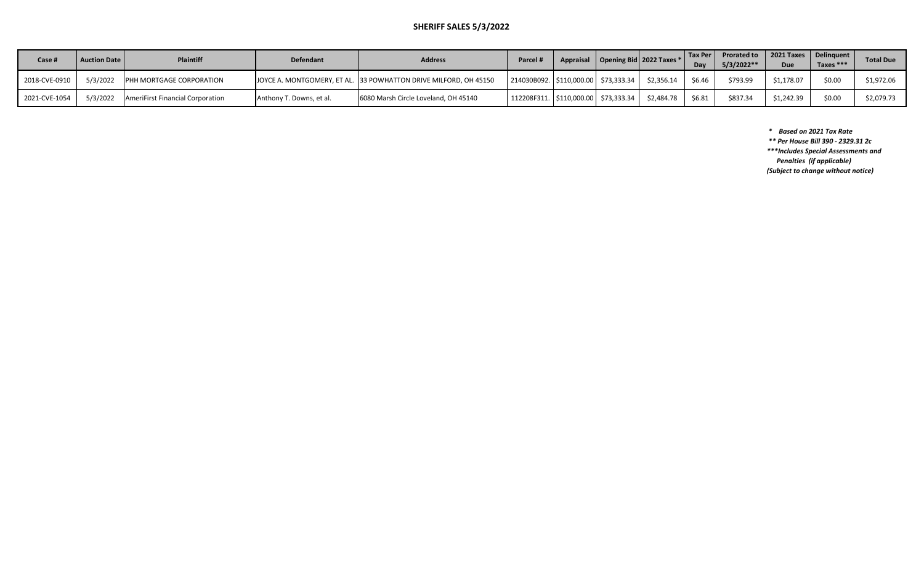## **SHERIFF SALES 5/3/2022**

| Case #        | <b>Auction Date</b> | <b>Plaintiff</b>                 | <b>Defendant</b>         | <b>Address</b>                                                   | Parcel h                                 |  | Appraisal   Opening Bid   2022 Taxes * | Dav    | Tax Per   Prorated to<br>$5/3/2022**$ | 2021 Taxes   Delinguent | Taxes *** | <b>Total Due</b> |
|---------------|---------------------|----------------------------------|--------------------------|------------------------------------------------------------------|------------------------------------------|--|----------------------------------------|--------|---------------------------------------|-------------------------|-----------|------------------|
| 2018-CVE-0910 | 5/3/2022            | PHH MORTGAGE CORPORATION         |                          | JOYCE A. MONTGOMERY, ET AL. 33 POWHATTON DRIVE MILFORD, OH 45150 | 214030B092.   \$110,000.00   \$73,333.34 |  | \$2.356.14                             | \$6.46 | \$793.99                              | \$1.178.07              | \$0.00    | \$1,972.06       |
| 2021-CVE-1054 | 5/3/2022            | AmeriFirst Financial Corporation | Anthony T. Downs, et al. | 6080 Marsh Circle Loveland, OH 45140                             | 112208F311.   \$110,000.00   \$73,333.34 |  | \$2,484.78                             | \$6.81 | \$837.34                              | \$1,242.39              | \$0.00    | \$2,079.73       |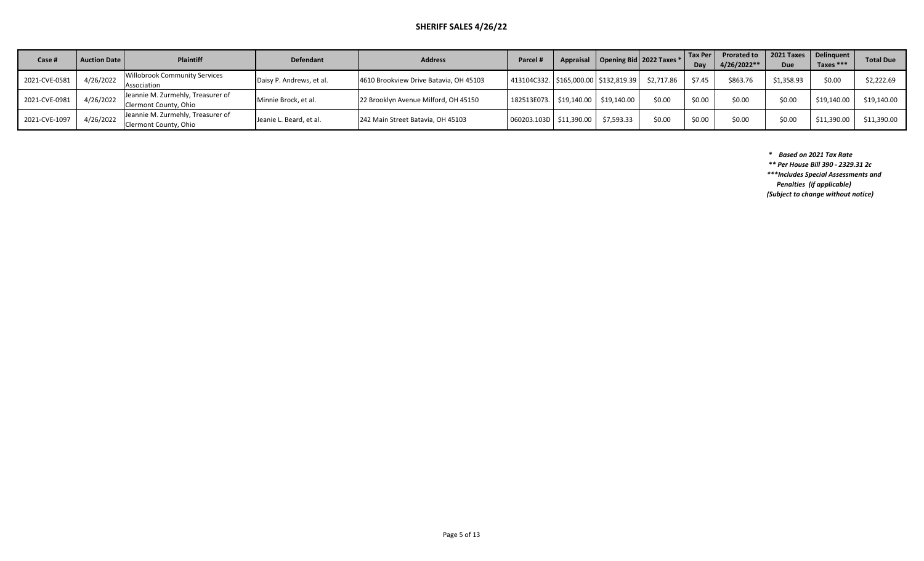#### **SHERIFF SALES 4/26/22**

| Case #        | <b>Auction Date I</b> | <b>Plaintiff</b>                                           | <b>Defendant</b>         | <b>Address</b>                         | <b>Parcel</b>                           |            | Appraisal   Opening Bid   2022 Taxes * | Tax Per<br>Dav | <b>Prorated to</b><br>$4/26/2022**$ | 2021 Taxes<br><b>Due</b> | Delinquent<br>Taxes $***$ | <b>Total Due</b> |
|---------------|-----------------------|------------------------------------------------------------|--------------------------|----------------------------------------|-----------------------------------------|------------|----------------------------------------|----------------|-------------------------------------|--------------------------|---------------------------|------------------|
| 2021-CVE-0581 | 4/26/2022             | Willobrook Community Services<br>Association               | Daisy P. Andrews, et al. | 4610 Brookview Drive Batavia, OH 45103 | 413104C332. S165,000.00 S132,819.39     |            | \$2,717.86                             | \$7.45         | \$863.76                            | \$1,358.93               | \$0.00                    | \$2,222.69       |
| 2021-CVE-0981 | 4/26/2022             | Jeannie M. Zurmehly, Treasurer of<br>Clermont County, Ohio | Minnie Brock, et al.     | 22 Brooklyn Avenue Milford, OH 45150   | 182513E073.   \$19,140.00   \$19,140.00 |            | \$0.00                                 | \$0.00         | \$0.00                              | \$0.00                   | \$19,140.00               | \$19,140.00      |
| 2021-CVE-1097 | 4/26/2022             | Jeannie M. Zurmehly, Treasurer of<br>Clermont County, Ohio | Jeanie L. Beard, et al.  | 242 Main Street Batavia, OH 45103      | 060203.103D   \$11,390.00               | \$7,593.33 | \$0.00                                 | \$0.00         | \$0.00                              | \$0.00                   | \$11,390.00               | \$11,390.00      |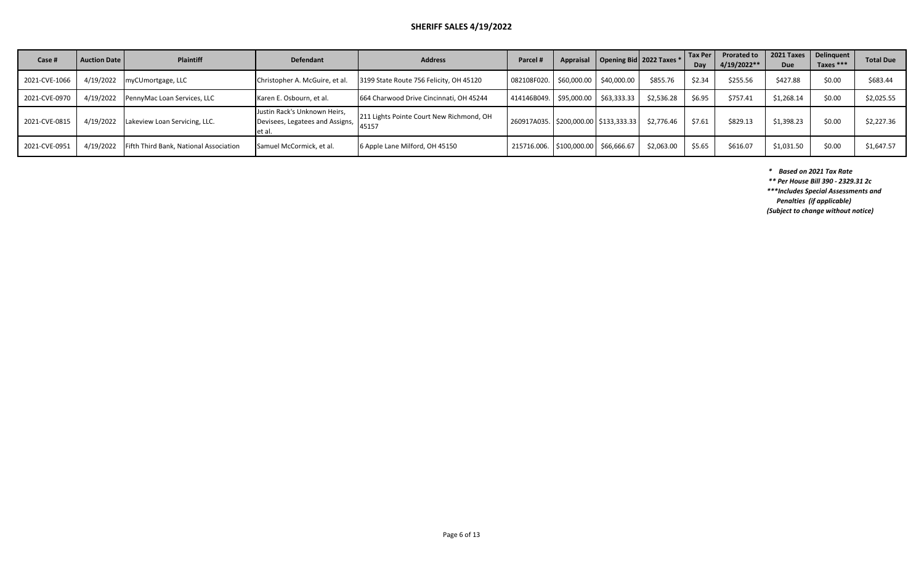#### **SHERIFF SALES 4/19/2022**

| Case #        | <b>Auction Date</b> | <b>Plaintiff</b>                       | Defendant                                                                      | <b>Address</b>                           | Parcel #                                |                                          |                                           | Appraisal   Opening Bid   2022 Taxes * | Tax Per<br>Dav | <b>Prorated to</b><br>4/19/2022** | <b>Due</b> | 2021 Taxes   Delinguent  <br>Taxes $***$ | <b>Total Due</b> |
|---------------|---------------------|----------------------------------------|--------------------------------------------------------------------------------|------------------------------------------|-----------------------------------------|------------------------------------------|-------------------------------------------|----------------------------------------|----------------|-----------------------------------|------------|------------------------------------------|------------------|
| 2021-CVE-1066 |                     | 4/19/2022 myCUmortgage, LLC            | Christopher A. McGuire, et al.                                                 | 3199 State Route 756 Felicity, OH 45120  | 082108F020.                             | \$60,000.00                              | \$40,000.00                               | \$855.76                               | \$2.34         | \$255.56                          | \$427.88   | \$0.00                                   | \$683.44         |
| 2021-CVE-0970 | 4/19/2022           | PennyMac Loan Services, LLC            | Karen E. Osbourn, et al.                                                       | 664 Charwood Drive Cincinnati, OH 45244  | 414146B049.   \$95,000.00   \$63,333.33 |                                          |                                           | \$2,536.28                             | \$6.95         | \$757.41                          | \$1,268.14 | \$0.00                                   | \$2,025.55       |
| 2021-CVE-0815 | 4/19/2022           | Lakeview Loan Servicing, LLC.          | Justin Rack's Unknown Heirs,<br> Devisees, Legatees and Assigns, $\Big $ 45157 | 211 Lights Pointe Court New Richmond, OH |                                         |                                          | 260917A035.   \$200,000.00   \$133,333.33 | \$2.776.46                             | \$7.61         | \$829.13                          | \$1,398.23 | \$0.00                                   | \$2,227.36       |
| 2021-CVE-0951 | 4/19/2022           | Fifth Third Bank, National Association | Samuel McCormick, et al.                                                       | 6 Apple Lane Milford, OH 45150           |                                         | 215716.006.   \$100,000.00   \$66,666.67 |                                           | \$2,063.00                             | \$5.65         | \$616.07                          | \$1,031.50 | \$0.00                                   | \$1,647.57       |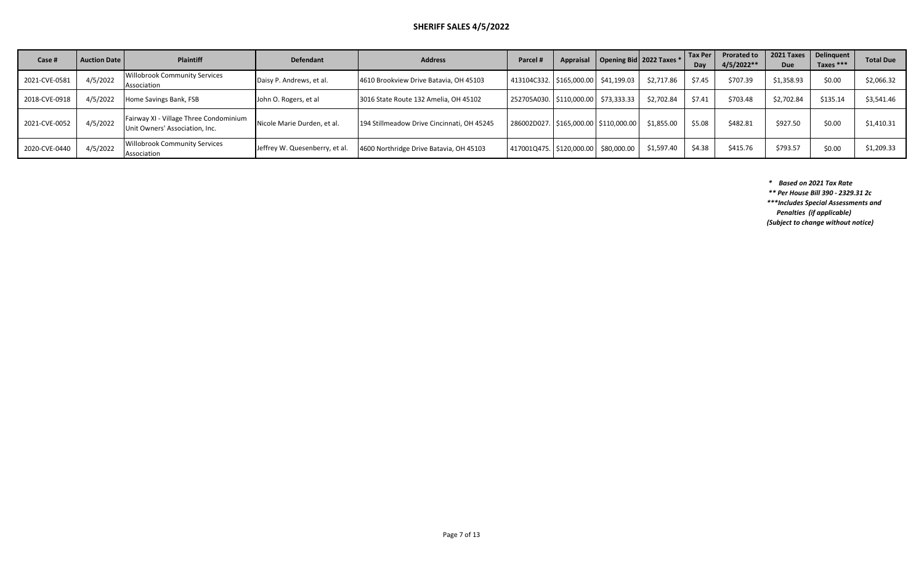#### **SHERIFF SALES 4/5/2022**

| Case #        | <b>Auction Date  </b> | <b>Plaintiff</b>                                                         | <b>Defendant</b>               | <b>Address</b>                             | <b>Parcel</b>                             | Appraisal | Opening Bid 2022 Taxes * |            | <b>Tax Per</b><br>Dav | <b>Prorated to</b><br>$4/5/2022**$ | 2021 Taxes<br>Due | <b>Delinquent</b><br>Taxes *** | <b>Total Due</b> |
|---------------|-----------------------|--------------------------------------------------------------------------|--------------------------------|--------------------------------------------|-------------------------------------------|-----------|--------------------------|------------|-----------------------|------------------------------------|-------------------|--------------------------------|------------------|
| 2021-CVE-0581 | 4/5/2022              | Willobrook Community Services<br>Association                             | Daisy P. Andrews, et al.       | 4610 Brookview Drive Batavia, OH 45103     | 413104C332.   \$165,000.00   \$41,199.03  |           |                          | \$2,717.86 | \$7.45                | \$707.39                           | \$1,358.93        | \$0.00                         | \$2,066.32       |
| 2018-CVE-0918 | 4/5/2022              | Home Savings Bank, FSB                                                   | John O. Rogers, et al          | 3016 State Route 132 Amelia, OH 45102      | 252705A030.   \$110,000.00   \$73,333.33  |           |                          | \$2,702.84 | \$7.41                | \$703.48                           | \$2,702.84        | \$135.14                       | \$3,541.46       |
| 2021-CVE-0052 | 4/5/2022              | Fairway XI - Village Three Condominium<br>Unit Owners' Association, Inc. | Nicole Marie Durden, et al.    | 194 Stillmeadow Drive Cincinnati, OH 45245 | 286002D027.   \$165,000.00   \$110,000.00 |           |                          | \$1,855.00 | \$5.08                | \$482.81                           | \$927.50          | \$0.00                         | \$1,410.31       |
| 2020-CVE-0440 | 4/5/2022              | Willobrook Community Services<br>Association                             | Jeffrey W. Quesenberry, et al. | 4600 Northridge Drive Batavia, OH 45103    | 417001Q475.   \$120,000.00   \$80,000.00  |           |                          | \$1,597.40 | \$4.38                | \$415.76                           | \$793.57          | \$0.00                         | \$1,209.33       |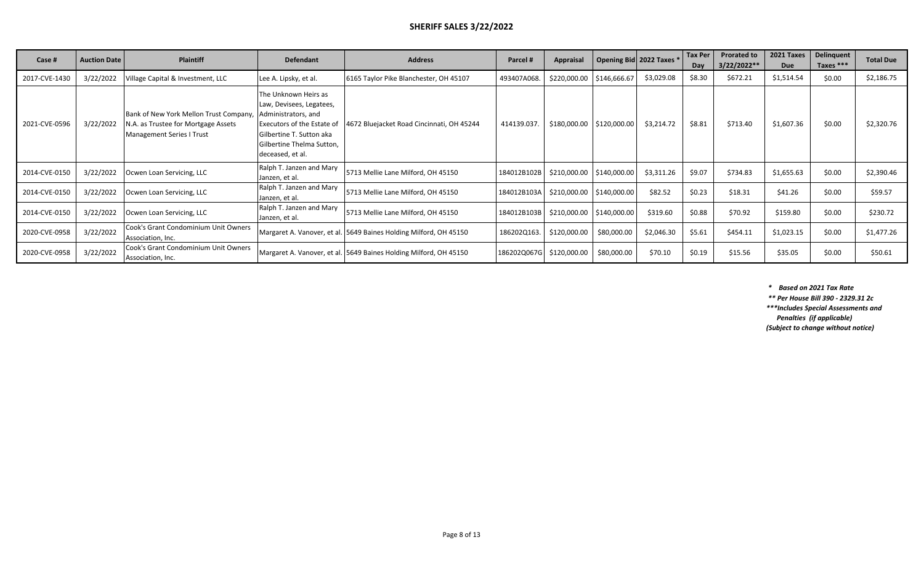| Case #        | <b>Auction Date</b> | <b>Plaintiff</b>                                                                                                  | <b>Defendant</b>                                                                                                                                                                   | <b>Address</b>                                                    | Parcel #    | Appraisal                 | Opening Bid 2022 Taxes    |            | <b>Tax Per</b><br>Day | <b>Prorated to</b><br>3/22/2022** | 2021 Taxes<br>Due | <b>Delinquent</b><br>Taxes $***$ | <b>Total Due</b> |
|---------------|---------------------|-------------------------------------------------------------------------------------------------------------------|------------------------------------------------------------------------------------------------------------------------------------------------------------------------------------|-------------------------------------------------------------------|-------------|---------------------------|---------------------------|------------|-----------------------|-----------------------------------|-------------------|----------------------------------|------------------|
| 2017-CVE-1430 | 3/22/2022           | Village Capital & Investment, LLC                                                                                 | Lee A. Lipsky, et al.                                                                                                                                                              | 6165 Taylor Pike Blanchester, OH 45107                            | 493407A068. | \$220,000.00              | \$146,666.67              | \$3,029.08 | \$8.30                | \$672.21                          | \$1,514.54        | \$0.00                           | \$2,186.75       |
| 2021-CVE-0596 | 3/22/2022           | Bank of New York Mellon Trust Company,<br>N.A. as Trustee for Mortgage Assets<br><b>Management Series I Trust</b> | The Unknown Heirs as<br>Law, Devisees, Legatees,<br>Administrators, and<br>Executors of the Estate of<br>Gilbertine T. Sutton aka<br>Gilbertine Thelma Sutton,<br>deceased, et al. | 4672 Bluejacket Road Cincinnati, OH 45244                         | 414139.037. |                           | \$180,000.00 \$120,000.00 | \$3,214.72 | \$8.81                | \$713.40                          | \$1,607.36        | \$0.00                           | \$2,320.76       |
| 2014-CVE-0150 | 3/22/2022           | Ocwen Loan Servicing, LLC                                                                                         | Ralph T. Janzen and Mary<br>Janzen, et al.                                                                                                                                         | 5713 Mellie Lane Milford, OH 45150                                | 184012B102B | \$210,000.00 \$140,000.00 |                           | \$3,311.26 | \$9.07                | \$734.83                          | \$1,655.63        | \$0.00                           | \$2,390.46       |
| 2014-CVE-0150 | 3/22/2022           | Ocwen Loan Servicing, LLC                                                                                         | Ralph T. Janzen and Mary<br>Janzen, et al.                                                                                                                                         | 5713 Mellie Lane Milford, OH 45150                                | 184012B103A | \$210,000.00 \$140,000.00 |                           | \$82.52    | \$0.23                | \$18.31                           | \$41.26           | \$0.00                           | \$59.57          |
| 2014-CVE-0150 | 3/22/2022           | Ocwen Loan Servicing, LLC                                                                                         | Ralph T. Janzen and Mary<br>Janzen, et al.                                                                                                                                         | 5713 Mellie Lane Milford, OH 45150                                | 184012B103B | \$210,000.00 \$140,000.00 |                           | \$319.60   | \$0.88                | \$70.92                           | \$159.80          | \$0.00                           | \$230.72         |
| 2020-CVE-0958 | 3/22/2022           | Cook's Grant Condominium Unit Owners<br>Association, Inc.                                                         |                                                                                                                                                                                    | Margaret A. Vanover, et al. 5649 Baines Holding Milford, OH 45150 | 186202Q163. | \$120,000.00              | \$80,000.00               | \$2,046.30 | \$5.61                | \$454.11                          | \$1,023.15        | \$0.00                           | \$1,477.26       |
| 2020-CVE-0958 | 3/22/2022           | Cook's Grant Condominium Unit Owners<br>Association, Inc.                                                         |                                                                                                                                                                                    | Margaret A. Vanover, et al. 5649 Baines Holding Milford, OH 45150 | 186202Q067G | \$120,000.00              | \$80,000.00               | \$70.10    | \$0.19                | \$15.56                           | \$35.05           | \$0.00                           | \$50.61          |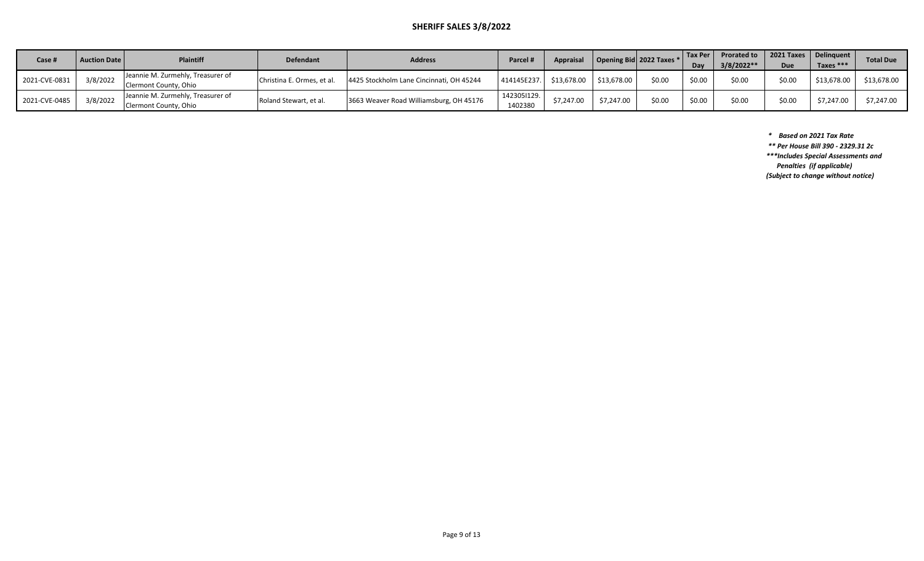## **SHERIFF SALES 3/8/2022**

| Case i        | <b>Auction Date</b> | <b>Plaintiff</b>                                           | <b>Defendant</b>           | <b>Address</b>                           | <b>Parcel</b> i        | <b>Appraisal</b> |             | Opening Bid 2022 Taxes * | Tax Per<br>Dav | <b>Prorated to</b><br>$3/8/2022**$ | Due    | 2021 Taxes   Delinguent  <br>Taxes *** | <b>Total Due</b> |
|---------------|---------------------|------------------------------------------------------------|----------------------------|------------------------------------------|------------------------|------------------|-------------|--------------------------|----------------|------------------------------------|--------|----------------------------------------|------------------|
| 2021-CVE-0831 | 3/8/2022            | Jeannie M. Zurmehly, Treasurer of<br>Clermont County, Ohio | Christina E. Ormes, et al. | 4425 Stockholm Lane Cincinnati, OH 45244 | 414145E237.            | \$13.678.00      | \$13.678.00 | \$0.00                   | \$0.00         | \$0.00                             | \$0.00 | \$13,678.00                            | \$13,678.00      |
| 2021-CVE-0485 | 3/8/2022            | Jeannie M. Zurmehly, Treasurer of<br>Clermont County, Ohio | Roland Stewart, et al.     | 3663 Weaver Road Williamsburg, OH 45176  | 142305I129.<br>1402380 | \$7,247.00       | \$7,247.00  | \$0.00                   | \$0.00         | \$0.00                             | \$0.00 | \$7,247.0                              | \$7,247.00       |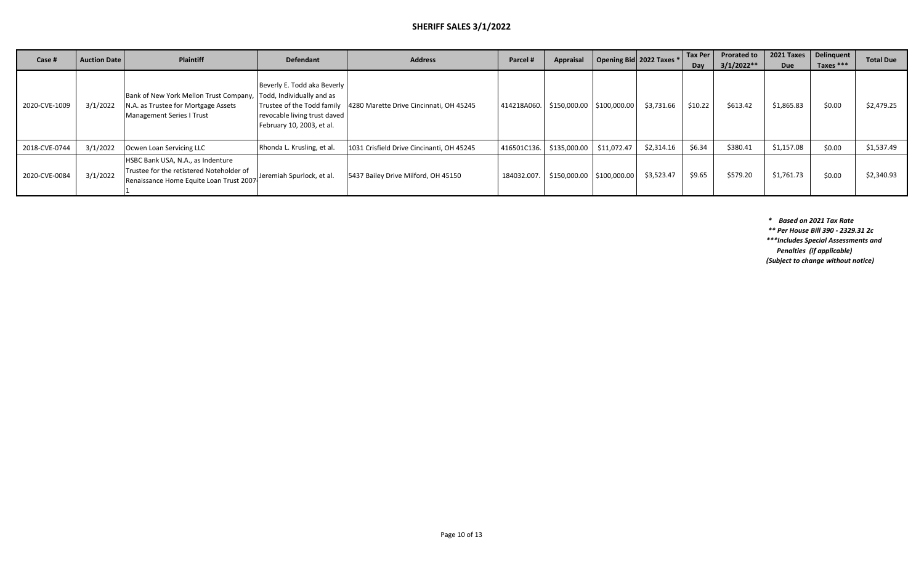## **SHERIFF SALES 3/1/2022**

| Case #        | <b>Auction Date</b> | Plaintiff                                                                                                                | <b>Defendant</b>                                                                                                      | <b>Address</b>                                                       | Parcel #    | Appraisal                  | Opening Bid 2022 Taxes * | Tax Per<br>Dav | <b>Prorated to</b><br>$3/1/2022**$ | 2021 Taxes<br><b>Due</b> | Delinquent<br>Taxes $***$ | <b>Total Due</b> |
|---------------|---------------------|--------------------------------------------------------------------------------------------------------------------------|-----------------------------------------------------------------------------------------------------------------------|----------------------------------------------------------------------|-------------|----------------------------|--------------------------|----------------|------------------------------------|--------------------------|---------------------------|------------------|
| 2020-CVE-1009 | 3/1/2022            | Bank of New York Mellon Trust Company,<br>N.A. as Trustee for Mortgage Assets<br>Management Series I Trust               | Beverly E. Todd aka Beverly<br>Todd, Individually and as<br>revocable living trust daved<br>February 10, 2003, et al. | Trustee of the Todd family   4280 Marette Drive Cincinnati, OH 45245 | 414218A060. | \$150,000.00 \$100,000.00  | \$3,731.66               | \$10.22        | \$613.42                           | \$1,865.83               | \$0.00                    | \$2,479.25       |
| 2018-CVE-0744 | 3/1/2022            | Ocwen Loan Servicing LLC                                                                                                 | Rhonda L. Krusling, et al.                                                                                            | 1031 Crisfield Drive Cincinanti, OH 45245                            | 416501C136  | \$135,000.00   \$11,072.47 | \$2,314.16               | \$6.34         | \$380.41                           | \$1,157.08               | \$0.00                    | \$1,537.49       |
| 2020-CVE-0084 | 3/1/2022            | HSBC Bank USA, N.A., as Indenture<br>Trustee for the retistered Noteholder of<br>Renaissance Home Equite Loan Trust 2007 | Jeremiah Spurlock, et al.                                                                                             | 5437 Bailey Drive Milford, OH 45150                                  | 184032.007  | \$150,000.00 \$100,000.00  | \$3,523.47               | \$9.65         | \$579.20                           | \$1,761.73               | \$0.00                    | \$2,340.93       |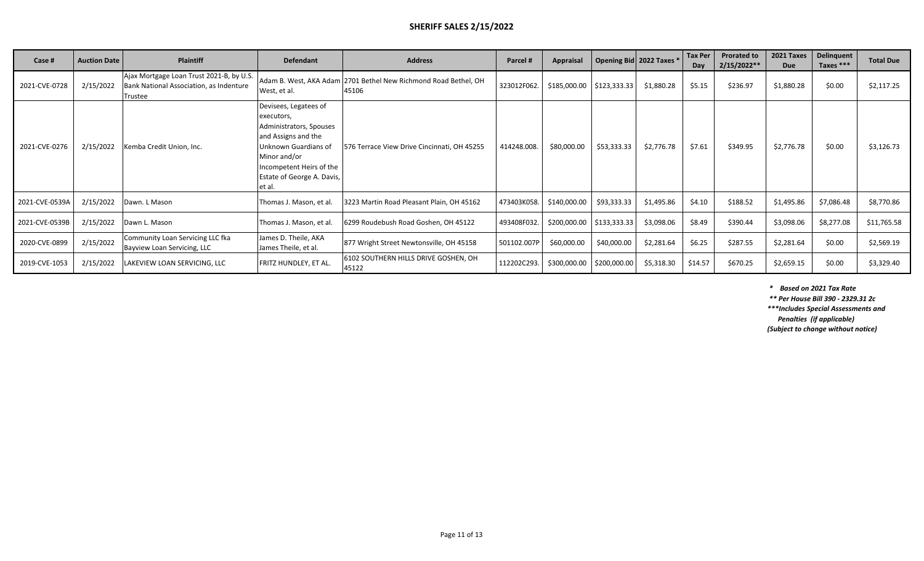# **SHERIFF SALES 2/15/2022**

| Case #         | <b>Auction Date</b> | <b>Plaintiff</b>                                                                               | <b>Defendant</b>                                                                                                                                                                                  | <b>Address</b>                                                           | Parcel#     | <b>Appraisal</b> |                           | Opening Bid 2022 Taxes * | Tax Per<br>Dav | <b>Prorated to</b><br>$2/15/2022**$ | 2021 Taxes<br><b>Due</b> | <b>Delinquent</b><br>Taxes *** | <b>Total Due</b> |
|----------------|---------------------|------------------------------------------------------------------------------------------------|---------------------------------------------------------------------------------------------------------------------------------------------------------------------------------------------------|--------------------------------------------------------------------------|-------------|------------------|---------------------------|--------------------------|----------------|-------------------------------------|--------------------------|--------------------------------|------------------|
| 2021-CVE-0728  | 2/15/2022           | Ajax Mortgage Loan Trust 2021-B, by U.S.<br>Bank National Association, as Indenture<br>Trustee | West, et al.                                                                                                                                                                                      | Adam B. West, AKA Adam 2701 Bethel New Richmond Road Bethel, OH<br>45106 | 323012F062. |                  | \$185,000.00 \$123,333.33 | \$1,880.28               | \$5.15         | \$236.97                            | \$1,880.28               | \$0.00                         | \$2,117.25       |
| 2021-CVE-0276  | 2/15/2022           | Kemba Credit Union, Inc.                                                                       | Devisees, Legatees of<br>executors,<br>Administrators, Spouses<br>and Assigns and the<br>Unknown Guardians of<br>Minor and/or<br>Incompetent Heirs of the<br>Estate of George A. Davis,<br>et al. | 576 Terrace View Drive Cincinnati, OH 45255                              | 414248.008. | \$80,000.00      | \$53,333.33               | \$2,776.78               | \$7.61         | \$349.95                            | \$2,776.78               | \$0.00                         | \$3,126.73       |
| 2021-CVE-0539A | 2/15/2022           | Dawn. L Mason                                                                                  | Thomas J. Mason, et al.                                                                                                                                                                           | 3223 Martin Road Pleasant Plain, OH 45162                                | 473403K058  | \$140,000.00     | \$93,333.33               | \$1,495.86               | \$4.10         | \$188.52                            | \$1,495.86               | \$7,086.48                     | \$8,770.86       |
| 2021-CVE-0539B | 2/15/2022           | Dawn L. Mason                                                                                  | Thomas J. Mason, et al.                                                                                                                                                                           | 6299 Roudebush Road Goshen, OH 45122                                     | 493408F032. |                  | \$200,000.00 \$133,333.33 | \$3,098.06               | \$8.49         | \$390.44                            | \$3,098.06               | \$8,277.08                     | \$11,765.58      |
| 2020-CVE-0899  | 2/15/2022           | Community Loan Servicing LLC fka<br>Bayview Loan Servicing, LLC                                | James D. Theile, AKA<br>James Theile, et al.                                                                                                                                                      | 877 Wright Street Newtonsville, OH 45158                                 | 501102.007P | \$60,000.00      | \$40,000.00               | \$2,281.64               | \$6.25         | \$287.55                            | \$2,281.64               | \$0.00                         | \$2,569.19       |
| 2019-CVE-1053  | 2/15/2022           | LAKEVIEW LOAN SERVICING, LLC                                                                   | FRITZ HUNDLEY, ET AL.                                                                                                                                                                             | 6102 SOUTHERN HILLS DRIVE GOSHEN, OH<br>45122                            | 112202C293  | \$300,000.00     | \$200,000.00              | \$5,318.30               | \$14.57        | \$670.25                            | \$2,659.15               | \$0.00                         | \$3,329.40       |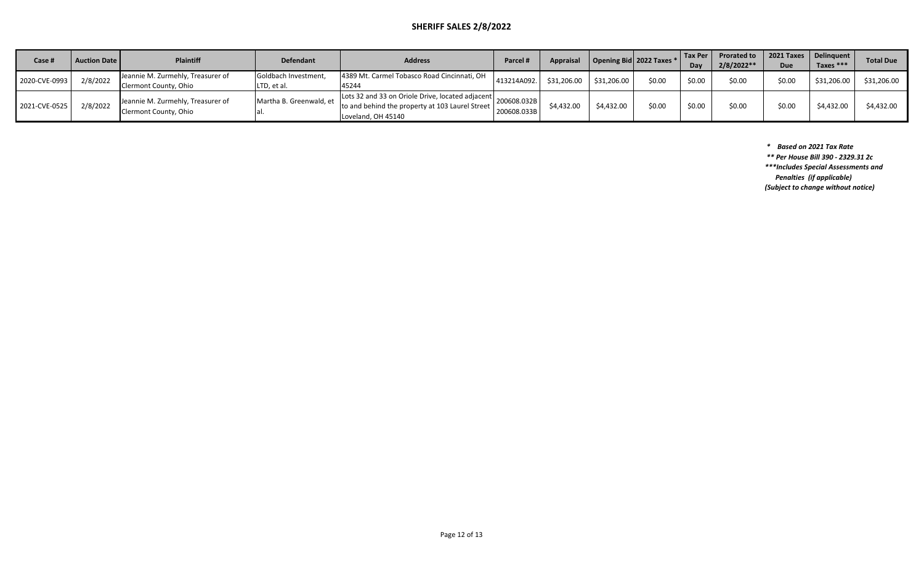## **SHERIFF SALES 2/8/2022**

| Case #        | <b>Auction Date  </b> | <b>Plaintiff</b>                                           | <b>Defendant</b>                    | <b>Address</b>                                                                                                            | Parcel #                   | <b>Appraisal</b> |             | Opening Bid 2022 Taxes * | <b>Tax Per</b><br>Day | <b>Prorated to</b><br>$2/8/2022**$ | Due    | 2021 Taxes   Delinquent  <br>Taxes $***$ | <b>Total Due</b> |
|---------------|-----------------------|------------------------------------------------------------|-------------------------------------|---------------------------------------------------------------------------------------------------------------------------|----------------------------|------------------|-------------|--------------------------|-----------------------|------------------------------------|--------|------------------------------------------|------------------|
| 2020-CVE-0993 | 2/8/2022              | Jeannie M. Zurmehly, Treasurer of<br>Clermont County, Ohio | Goldbach Investment,<br>LTD, et al. | 4389 Mt. Carmel Tobasco Road Cincinnati, OH<br>45244                                                                      | 413214A092.                | \$31,206.00      | \$31,206.00 | \$0.00                   | sn nr                 | \$0.00                             | \$0.00 | \$31,206.00                              | \$31,206.00      |
| 2021-CVE-0525 | 2/8/2022              | Jeannie M. Zurmehly, Treasurer of<br>Clermont County, Ohio | Martha B. Greenwald, et             | Lots 32 and 33 on Oriole Drive, located adjacent<br>to and behind the property at 103 Laurel Street<br>Loveland. OH 45140 | 200608.032B<br>200608.033B | \$4,432.00       | \$4,432.00  | \$0.00                   | sn nr                 | \$0.00                             | \$0.00 | \$4,432.00                               | \$4,432.00       |

 *\* Based on 2021 Tax Rate*

 *\*\* Per House Bill 390 - 2329.31 2c*

*\*\*\*Includes Special Assessments and Penalties (if applicable)*

*(Subject to change without notice)*